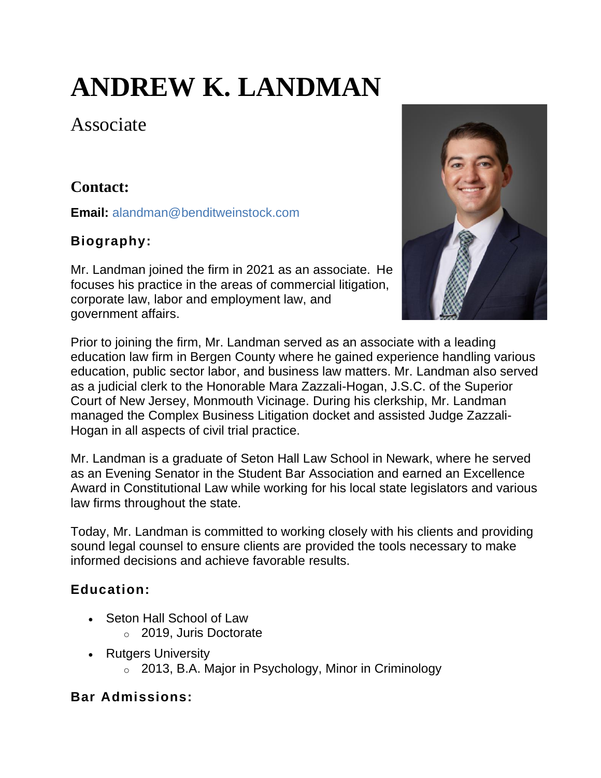# **ANDREW K. LANDMAN**

Associate

# **Contact:**

**Email:** [alandman@benditweinstock.com](mailto:alandman@benditweinstock.com)

## **Biography:**

Mr. Landman joined the firm in 2021 as an associate. He focuses his practice in the areas of commercial litigation, corporate law, labor and employment law, and government affairs.



Prior to joining the firm, Mr. Landman served as an associate with a leading education law firm in Bergen County where he gained experience handling various education, public sector labor, and business law matters. Mr. Landman also served as a judicial clerk to the Honorable Mara Zazzali-Hogan, J.S.C. of the Superior Court of New Jersey, Monmouth Vicinage. During his clerkship, Mr. Landman managed the Complex Business Litigation docket and assisted Judge Zazzali-Hogan in all aspects of civil trial practice.

Mr. Landman is a graduate of Seton Hall Law School in Newark, where he served as an Evening Senator in the Student Bar Association and earned an Excellence Award in Constitutional Law while working for his local state legislators and various law firms throughout the state.

Today, Mr. Landman is committed to working closely with his clients and providing sound legal counsel to ensure clients are provided the tools necessary to make informed decisions and achieve favorable results.

## **Education:**

- Seton Hall School of Law
	- o 2019, Juris Doctorate
- Rutgers University
	- o 2013, B.A. Major in Psychology, Minor in Criminology

#### **Bar Admissions:**